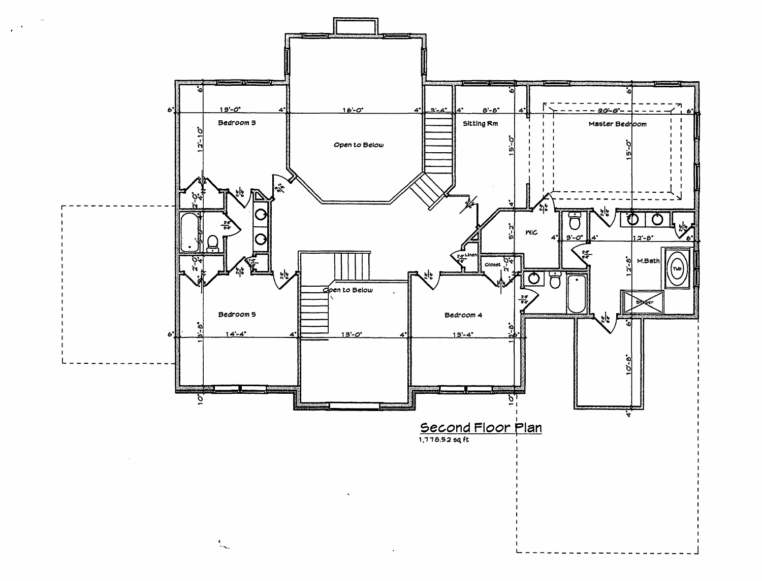

 $\sim$ 

 $\mathcal{A}^{(1)}$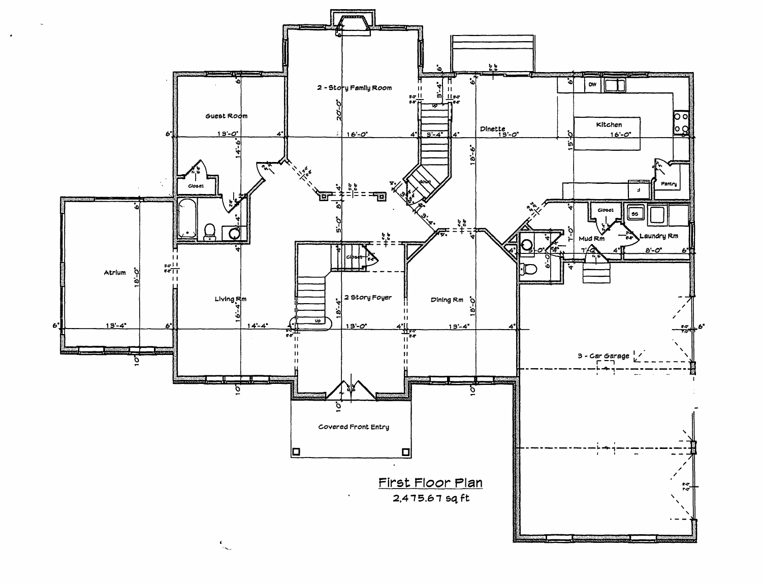

 $\ddot{\phantom{a}}$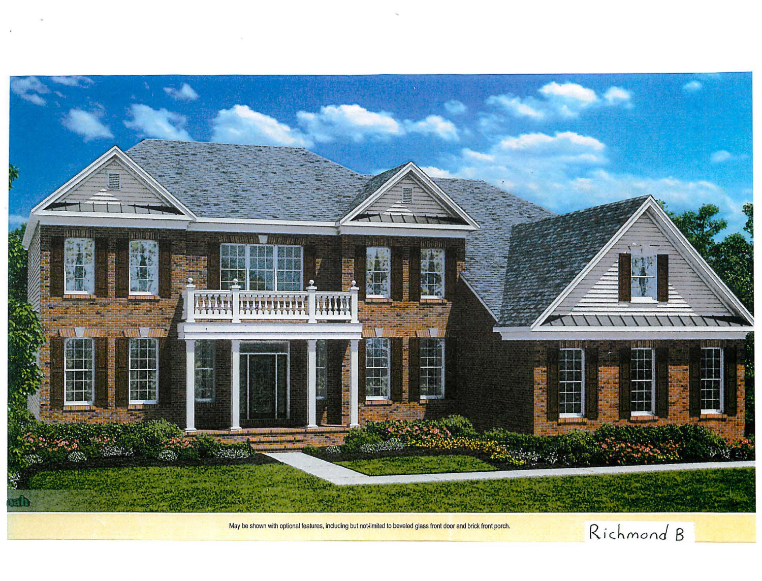